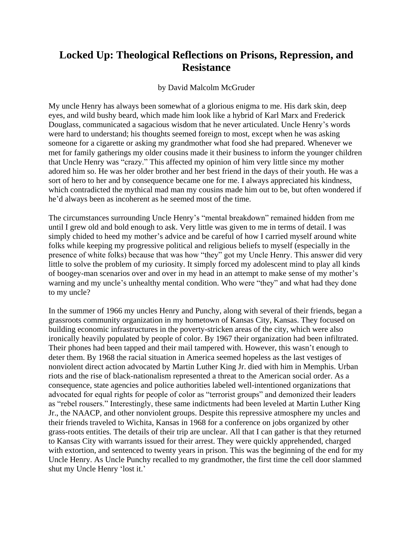## **Locked Up: Theological Reflections on Prisons, Repression, and Resistance**

## by David Malcolm McGruder

My uncle Henry has always been somewhat of a glorious enigma to me. His dark skin, deep eyes, and wild bushy beard, which made him look like a hybrid of Karl Marx and Frederick Douglass, communicated a sagacious wisdom that he never articulated. Uncle Henry's words were hard to understand; his thoughts seemed foreign to most, except when he was asking someone for a cigarette or asking my grandmother what food she had prepared. Whenever we met for family gatherings my older cousins made it their business to inform the younger children that Uncle Henry was "crazy." This affected my opinion of him very little since my mother adored him so. He was her older brother and her best friend in the days of their youth. He was a sort of hero to her and by consequence became one for me. I always appreciated his kindness, which contradicted the mythical mad man my cousins made him out to be, but often wondered if he'd always been as incoherent as he seemed most of the time.

The circumstances surrounding Uncle Henry's "mental breakdown" remained hidden from me until I grew old and bold enough to ask. Very little was given to me in terms of detail. I was simply chided to heed my mother's advice and be careful of how I carried myself around white folks while keeping my progressive political and religious beliefs to myself (especially in the presence of white folks) because that was how "they" got my Uncle Henry. This answer did very little to solve the problem of my curiosity. It simply forced my adolescent mind to play all kinds of boogey-man scenarios over and over in my head in an attempt to make sense of my mother's warning and my uncle's unhealthy mental condition. Who were "they" and what had they done to my uncle?

In the summer of 1966 my uncles Henry and Punchy, along with several of their friends, began a grassroots community organization in my hometown of Kansas City, Kansas. They focused on building economic infrastructures in the poverty-stricken areas of the city, which were also ironically heavily populated by people of color. By 1967 their organization had been infiltrated. Their phones had been tapped and their mail tampered with. However, this wasn't enough to deter them. By 1968 the racial situation in America seemed hopeless as the last vestiges of nonviolent direct action advocated by Martin Luther King Jr. died with him in Memphis. Urban riots and the rise of black-nationalism represented a threat to the American social order. As a consequence, state agencies and police authorities labeled well-intentioned organizations that advocated for equal rights for people of color as "terrorist groups" and demonized their leaders as "rebel rousers." Interestingly, these same indictments had been leveled at Martin Luther King Jr., the NAACP, and other nonviolent groups. Despite this repressive atmosphere my uncles and their friends traveled to Wichita, Kansas in 1968 for a conference on jobs organized by other grass-roots entities. The details of their trip are unclear. All that I can gather is that they returned to Kansas City with warrants issued for their arrest. They were quickly apprehended, charged with extortion, and sentenced to twenty years in prison. This was the beginning of the end for my Uncle Henry. As Uncle Punchy recalled to my grandmother, the first time the cell door slammed shut my Uncle Henry 'lost it.'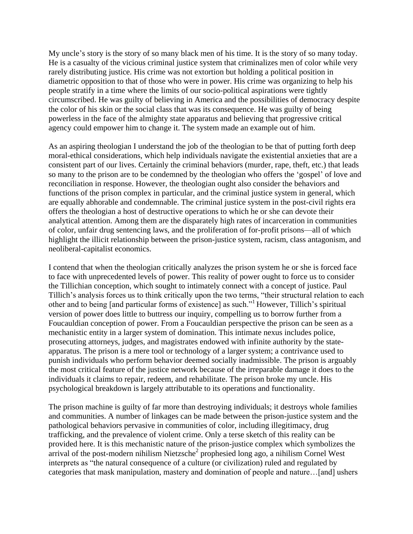My uncle's story is the story of so many black men of his time. It is the story of so many today. He is a casualty of the vicious criminal justice system that criminalizes men of color while very rarely distributing justice. His crime was not extortion but holding a political position in diametric opposition to that of those who were in power. His crime was organizing to help his people stratify in a time where the limits of our socio-political aspirations were tightly circumscribed. He was guilty of believing in America and the possibilities of democracy despite the color of his skin or the social class that was its consequence. He was guilty of being powerless in the face of the almighty state apparatus and believing that progressive critical agency could empower him to change it. The system made an example out of him.

As an aspiring theologian I understand the job of the theologian to be that of putting forth deep moral-ethical considerations, which help individuals navigate the existential anxieties that are a consistent part of our lives. Certainly the criminal behaviors (murder, rape, theft, etc.) that leads so many to the prison are to be condemned by the theologian who offers the 'gospel' of love and reconciliation in response. However, the theologian ought also consider the behaviors and functions of the prison complex in particular, and the criminal justice system in general, which are equally abhorable and condemnable. The criminal justice system in the post-civil rights era offers the theologian a host of destructive operations to which he or she can devote their analytical attention. Among them are the disparately high rates of incarceration in communities of color, unfair drug sentencing laws, and the proliferation of for-profit prisons—all of which highlight the illicit relationship between the prison-justice system, racism, class antagonism, and neoliberal-capitalist economics.

I contend that when the theologian critically analyzes the prison system he or she is forced face to face with unprecedented levels of power. This reality of power ought to force us to consider the Tillichian conception, which sought to intimately connect with a concept of justice. Paul Tillich's analysis forces us to think critically upon the two terms, "their structural relation to each other and to being [and particular forms of existence] as such."<sup>1</sup> However, Tillich's spiritual version of power does little to buttress our inquiry, compelling us to borrow further from a Foucauldian conception of power. From a Foucauldian perspective the prison can be seen as a mechanistic entity in a larger system of domination. This intimate nexus includes police, prosecuting attorneys, judges, and magistrates endowed with infinite authority by the stateapparatus. The prison is a mere tool or technology of a larger system; a contrivance used to punish individuals who perform behavior deemed socially inadmissible. The prison is arguably the most critical feature of the justice network because of the irreparable damage it does to the individuals it claims to repair, redeem, and rehabilitate. The prison broke my uncle. His psychological breakdown is largely attributable to its operations and functionality.

The prison machine is guilty of far more than destroying individuals; it destroys whole families and communities. A number of linkages can be made between the prison-justice system and the pathological behaviors pervasive in communities of color, including illegitimacy, drug trafficking, and the prevalence of violent crime. Only a terse sketch of this reality can be provided here. It is this mechanistic nature of the prison-justice complex which symbolizes the arrival of the post-modern nihilism Nietzsche<sup>2</sup> prophesied long ago, a nihilism Cornel West interprets as "the natural consequence of a culture (or civilization) ruled and regulated by categories that mask manipulation, mastery and domination of people and nature…[and] ushers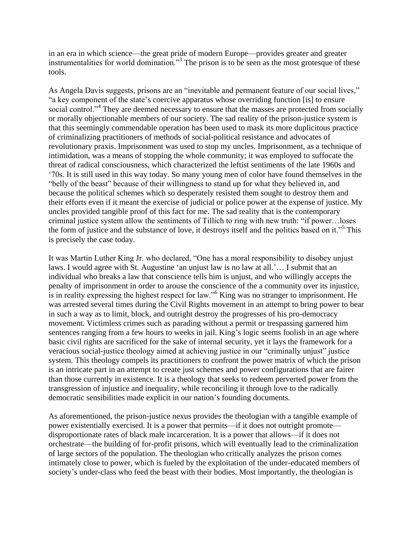in an era in which science—the great pride of modern Europe—provides greater and greater instrumentalities for world domination."<sup>3</sup> The prison is to be seen as the most grotesque of these tools.

As Angela Davis suggests, prisons are an "inevitable and permanent feature of our social lives," "a key component of the state's coercive apparatus whose overriding function [is] to ensure social control."<sup>4</sup> They are deemed necessary to ensure that the masses are protected from socially or morally objectionable members of our society. The sad reality of the prison-justice system is that this seemingly commendable operation has been used to mask its more duplicitous practice of criminalizing practitioners of methods of social-political resistance and advocates of revolutionary praxis. Imprisonment was used to stop my uncles. Imprisonment, as a technique of intimidation, was a means of stopping the whole community; it was employed to suffocate the threat of radical consciousness, which characterized the leftist sentiments of the late 1960s and ‗70s. It is still used in this way today. So many young men of color have found themselves in the "belly of the beast" because of their willingness to stand up for what they believed in, and because the political schemes which so desperately resisted them sought to destroy them and their efforts even if it meant the exercise of judicial or police power at the expense of justice. My uncles provided tangible proof of this fact for me. The sad reality that is the contemporary criminal justice system allow the sentiments of Tillich to ring with new truth: "if power...loses the form of justice and the substance of love, it destroys itself and the politics based on it."<sup>5</sup> This is precisely the case today.

It was Martin Luther King Jr. who declared, "One has a moral responsibility to disobey unjust laws. I would agree with St. Augustine 'an unjust law is no law at all.'... I submit that an individual who breaks a law that conscience tells him is unjust, and who willingly accepts the penalty of imprisonment in order to arouse the conscience of the a community over its injustice, is in reality expressing the highest respect for law."<sup>6</sup> King was no stranger to imprisonment. He was arrested several times during the Civil Rights movement in an attempt to bring power to bear in such a way as to limit, block, and outright destroy the progresses of his pro-democracy movement. Victimless crimes such as parading without a permit or trespassing garnered him sentences ranging from a few hours to weeks in jail. King's logic seems foolish in an age where basic civil rights are sacrificed for the sake of internal security, yet it lays the framework for a veracious social-justice theology aimed at achieving justice in our "criminally unjust" justice system. This theology compels its practitioners to confront the power matrix of which the prison is an intricate part in an attempt to create just schemes and power configurations that are fairer than those currently in existence. It is a theology that seeks to redeem perverted power from the transgression of injustice and inequality, while reconciling it through love to the radically democratic sensibilities made explicit in our nation's founding documents.

As aforementioned, the prison-justice nexus provides the theologian with a tangible example of power existentially exercised. It is a power that permits—if it does not outright promote disproportionate rates of black male incarceration. It is a power that allows—if it does not orchestrate—the building of for-profit prisons, which will eventually lead to the criminalization of large sectors of the population. The theologian who critically analyzes the prison comes intimately close to power, which is fueled by the exploitation of the under-educated members of society's under-class who feed the beast with their bodies. Most importantly, the theologian is